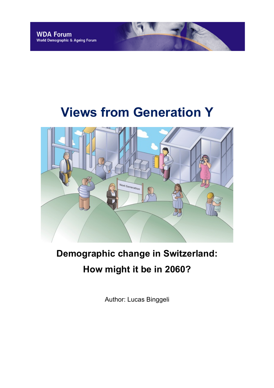# **Views from Generation Y**



## **Demographic change in Switzerland: How might it be in 2060?**

Author: Lucas Binggeli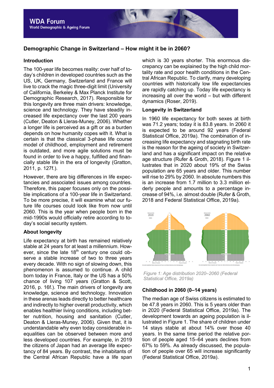### **Demographic Change in Switzerland – How might it be in 2060?**

#### **Introduction**

The 100-year life becomes reality: over half of today's children in developed countries such as the US, UK, Germany, Switzerland and France will live to crack the magic three-digit limit (University of California, Berkeley & Max Planck Institute for Demographic Research, 2017). Responsible for this longevity are three main drivers: knowledge, science and technology. They have steadily increased life expectancy over the last 200 years (Cutler, Deaton & Lleras-Muney, 2006). Whether a longer life is perceived as a gift or as a burden depends on how humanity copes with it. What is certain is that the classical 3-phase life course model of childhood, employment and retirement is outdated, and more agile solutions must be found in order to live a happy, fulfilled and financially stable life in the era of longevity (Gratton, 2011, p. 127f.).

However, there are big differences in life expectancies and associated issues among countries. Therefore, this paper focuses only on the possible implications of a 100-year life in Switzerland. To be more precise, it will examine what our future life courses could look like from now until 2060. This is the year when people born in the mid-1990s would officially retire according to today's social security system.

#### **About longevity**

Life expectancy at birth has remained relatively stable at 24 years for at least a millennium. However, since the late  $18<sup>th</sup>$  century one could observe a stable increase of two to three years every decade. With no sign of slowing down, this phenomenon is assumed to continue. A child born today in France, Italy or the US has a 50% chance of living 107 years (Gratton & Scott, 2016, p. 16f.). The main drivers of longevity are knowledge, science and technology. Innovation in these arenas leads directly to better healthcare and indirectly to higher overall productivity, which enables healthier living conditions, including better nutrition, housing and sanitation (Cutler, Deaton & Lleras-Muney, 2006). Given that, it is understandable why even today considerable inequalities can be observed between more and less developed countries. For example, in 2019 the citizens of Japan had an average life expectancy of 84 years. By contrast, the inhabitants of the Central African Republic have a life span

which is 30 years shorter. This enormous discrepancy can be explained by the high child mortality rate and poor health conditions in the Central African Republic. To clarify, many developing countries with historically low life expectancies are rapidly catching up. Today life expectancy is increasing all over the world – but with different dynamics (Roser, 2019).

#### **Longevity in Switzerland**

In 1960 life expectancy for both sexes at birth was 71.2 years; today it is 83.8 years. In 2060 it is expected to be around 92 years (Federal Statistical Office, 2019a). The combination of increasing life expectancy and stagnating birth rate is the reason for the ageing of society in Switzerland and has a significant impact on the relative age structure (Rufer & Groth, 2018). Figure 1 illustrates that in 2020 about 19% of the Swiss population are 65 years and older. This number will rise to 29% by 2060. In absolute numbers this is an increase from 1.7 million to 3.3 million elderly people and amounts to a percentage increase of 94%, i.e. almost double (Rufer & Groth, 2018 and Federal Statistical Office, 2019a).



*Figure 1: Age distribution 2020–2060 (Federal Statistical Office, 2019a)*

#### **Childhood in 2060 (0–14 years)**

The median age of Swiss citizens is estimated to be 47.8 years in 2060. This is 5 years older than in 2020 (Federal Statistical Office, 2019a). The development towards an ageing population is illustrated in Figure 1. The share of children under 14 stays stable at about 14% over those 40 years. In the same time period the relative portion of people aged 15–64 years declines from 67% to 59%. As already discussed, the population of people over 65 will increase significantly (Federal Statistical Office, 2019a).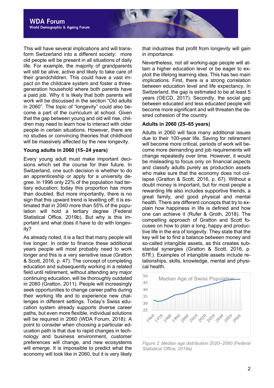This will have several implications and will transform Switzerland into a different society: more old people will be present in all situations of daily life. For example, the majority of grandparents will still be alive, active and likely to take care of their grandchildren. This could have a vast impact on the childcare system and foster a threegeneration household where both parents have a paid job. Why it is likely that both parents will work will be discussed in the section "Old adults in 2060". The topic of "longevity" could also become a part of the curriculum at school. Given that the gap between young and old will rise, children may need to learn how to interact with older people in certain situations. However, there are no studies or convincing theories that childhood will be massively affected by the new longevity.

#### **Young adults in 2060 (15–24 years)**

Every young adult must make important decisions which set the course for their future. In Switzerland, one such decision is whether to do an apprenticeship or apply for a university degree. In 1996 only 22% of the population had tertiary education; today this proportion has more than doubled. But more importantly, there is no sign that this upward trend is levelling off; it is estimated that in 2040 more than 55% of the population will hold a tertiary degree (Federal Statistical Office, 2019b). But why is this important and what does it have to do with longevity?

As already noted, it is a fact that many people will live longer. In order to finance these additional years people will most probably need to work longer and this is a very sensitive issue (Gratton & Scott, 2016, p. 47). The concept of completing education and subsequently working in a related field until retirement, without attending any major continuing education, will be thoroughly outdated in 2060 (Gratton, 2011). People will increasingly seek opportunities to change career paths during their working life and to experience new challenges in different settings. Today's Swiss education system already supports diverse career paths, but even more flexible, individual solutions will be required in 2060 (WDA Forum, 2018). A point to consider when choosing a particular education path is that due to rapid changes in technology and business environment, customer preferences will change, and new ecosystems will emerge. It is impossible to predict what the economy will look like in 2060, but it is very likely

that industries that profit from longevity will gain in importance.

Nevertheless, not all working-age people will attain a higher education level or be eager to exploit the lifelong learning idea. This has two main implications. First, there is a strong correlation between education level and life expectancy. In Switzerland, the gap is estimated to be at least 5 years (OECD, 2017). Secondly, the social gap between educated and less educated people will become more significant and will threaten the desired cohesion of the country.

#### **Adults in 2060 (25–65 years)**

Adults in 2060 will face many additional issues due to their 100-year life. Saving for retirement will become more critical, periods of work will become more demanding and job requirements will change repeatedly over time. However, it would be misleading to focus only on financial aspects and classify adults purely as production assets who make sure that the economy does not collapse (Gratton & Scott, 2016, p. 67). Without a doubt money is important, but for most people a rewarding life also includes supportive friends, a great family, and good physical and mental health. There are different concepts that try to explain how happiness in life is defined and how one can achieve it (Rufer & Groth, 2018). The compelling approach of Gratton and Scott focuses on how to plan a long, happy and productive life in the era of longevity. They state that the key will be to find a balance between money and so-called intangible assets, as this creates substantial synergies (Gratton & Scott, 2016, p. 67ff.). Examples of intangible assets include relationships, skills, knowledge, mental and physical health.



*Figure 2: Median age distribution 2020–2060 (Federal Statistical Office, 2019a)*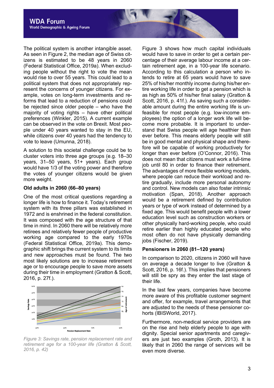The political system is another intangible asset. As seen in Figure 2, the median age of Swiss citizens is estimated to be 48 years in 2060 (Federal Statistical Office, 2019a). When excluding people without the right to vote the mean would rise to over 55 years. This could lead to a political system that does not appropriately represent the concerns of younger citizens. For example, votes on long-term investments and reforms that lead to a reduction of pensions could be rejected since older people – who have the majority of voting rights – have other political preferences (Winkler, 2015). A current example can be observed in the vote on Brexit. Most people under 40 years wanted to stay in the EU, while citizens over 40 years had the tendency to vote to leave (Umunna, 2018).

A solution to this societal challenge could be to cluster voters into three age groups (e.g. 18–30 years, 31–50 years, 51+ years). Each group would have 1/3 of the voting power and therefore the votes of younger citizens would be given more weight.

#### **Old adults in 2060 (66–80 years)**

One of the most critical questions regarding a longer life is how to finance it. Today's retirement system with its three pillars was established in 1972 and is enshrined in the federal constitution. It was composed with the age structure of that time in mind. In 2060 there will be relatively more retirees and relatively fewer people of productive working age compared to the early 1970s (Federal Statistical Office, 2019a). This demographic shift brings the current system to its limits and new approaches must be found. The two most likely solutions are to increase retirement age or to encourage people to save more assets during their time in employment (Gratton & Scott, 2016, p. 27f.).



*Figure 3: Savings rate, pension replacement rate and retirement age for a 100-year life (Gratton & Scott, 2016, p. 42)*

Figure 3 shows how much capital individuals would have to save in order to get a certain percentage of their average labour income at a certain retirement age, in a 100-year life scenario. According to this calculation a person who intends to retire at 65 years would have to save 25% of his/her monthly income during his/her entire working life in order to get a pension which is as high as 50% of his/her final salary (Gratton & Scott, 2016, p. 41f.). As saving such a considerable amount during the entire working life is unfeasible for most people (e.g. low-income employees) the option of a longer work life will become more probable. It is important to understand that Swiss people will age healthier than ever before. This means elderly people will still be in good mental and physical shape and therefore will be capable of working productively for longer than ever before (O'Connor, 2016). This does not mean that citizens must work a full-time job until 80 in order to finance their retirement. The advantages of more flexible working models, where people can reduce their workload and retire gradually, include more personal autonomy and control. New models can also foster intrinsic motivation (Span, 2018). Another approach would be a retirement defined by contribution years or type of work instead of determined by a fixed age. This would benefit people with a lower education level such as construction workers or other physically hard-working people, who could retire earlier than highly educated people who most often do not have physically demanding jobs (Fischer, 2019).

#### **Pensioners in 2060 (81–120 years)**

In comparison to 2020, citizens in 2060 will have on average a decade longer to live (Gratton & Scott, 2016, p. 16f.). This implies that pensioners will still be spry as they enter the last stage of their life.

In the last few years, companies have become more aware of this profitable customer segment and offer, for example, travel arrangements that are adjusted to the needs of these pensioner cohorts (IBISWorld, 2017).

Furthermore, non-medical service providers are on the rise and help elderly people to age with dignity. Special senior apartments and caregivers are just two examples (Groth, 2013). It is likely that in 2060 the range of services will be even more diverse.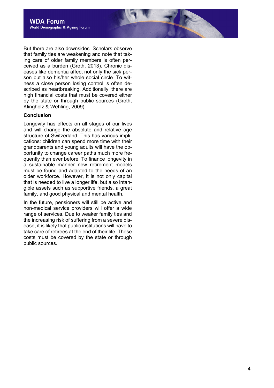But there are also downsides. Scholars observe that family ties are weakening and note that taking care of older family members is often perceived as a burden (Groth, 2013). Chronic diseases like dementia affect not only the sick person but also his/her whole social circle. To witness a close person losing control is often described as heartbreaking. Additionally, there are high financial costs that must be covered either by the state or through public sources (Groth, Klingholz & Wehling, 2009).

#### **Conclusion**

Longevity has effects on all stages of our lives and will change the absolute and relative age structure of Switzerland. This has various implications: children can spend more time with their grandparents and young adults will have the opportunity to change career paths much more frequently than ever before. To finance longevity in a sustainable manner new retirement models must be found and adapted to the needs of an older workforce. However, it is not only capital that is needed to live a longer life, but also intangible assets such as supportive friends, a great family, and good physical and mental health.

In the future, pensioners will still be active and non-medical service providers will offer a wide range of services. Due to weaker family ties and the increasing risk of suffering from a severe disease, it is likely that public institutions will have to take care of retirees at the end of their life. These costs must be covered by the state or through public sources.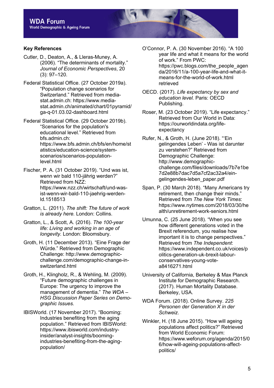#### **Key References**

- Cutler, D., Deaton, A., & Lleras-Muney, A. (2006). "The determinants of mortality." *Journal of Economic Perspectives*, 20 (3): 97–120.
- Federal Statistical Office. (27 October 2019a). "Population change scenarios for Switzerland." Retrieved from mediastat.admin.ch: https://www.mediastat.admin.ch/animated/chart/01pyramid/ ga-q-01.03.02-dashboard.html
- Federal Statistical Office. (29 October 2019b). "Scenarios for the population's educational level." Retrieved from bfs.admin.ch: https://www.bfs.admin.ch/bfs/en/home/st atistics/education-science/systemscenarios/scenarios-populationlevel.html
- Fischer, P. A. (31 October 2019). "Und was ist, wenn wir bald 110-jährig werden?" Retrieved from NZZ: https://www.nzz.ch/wirtschaft/und-wasist-wenn-wir-bald-110-jaehrig-werdenld.1518513
- Gratton, L. (2011). *The shift: The future of work is already here.* London: Collins.
- Gratton, L., & Scott, A. (2016). *The 100-year life: Living and working in an age of longevity.* London: Bloomsbury.
- Groth, H. (11 December 2013). "Eine Frage der Würde." Retrieved from Demographic Challenge: http://www.demographicchallenge.com/demographic-change-inswitzerland.html
- Groth, H., Klingholz, R., & Wehling, M. (2009). "Future demographic challenges in Europe: The urgency to improve the management of dementia." *The WDA – HSG Discussion Paper Series on Demographic Issues.*
- IBISWorld. (17 November 2017). "Booming: Industries benefiting from the aging population." Retrieved from IBISWorld: https://www.ibisworld.com/industryinsider/analyst-insights/boomingindustries-benefiting-from-the-agingpopulation/
- O'Connor, P. A. (30 November 2016). "A 100 year life and what it means for the world of work." From PWC: https://pwc.blogs.com/the\_people\_agen da/2016/11/a-100-year-life-and-what-itmeans-for-the-world-of-work.html retrieved
- OECD. (2017). *Life expectancy by sex and education level.* Paris: OECD Publishing.
- Roser, M. (23 October 2019). "Life expectancy." Retrieved from Our World in Data: https://ourworldindata.org/lifeexpectancy
- Rufer, N., & Groth, H. (June 2018). "'Ein gelingendes Leben' - Was ist darunter zu verstehen?" Retrieved from Demographic Challenge: http://www.demographicchallenge.com/files/downloads/7b7e1be 7d2e88b7dac7d5a7cf2ac32a4/eingelingendes-leben\_paper.pdf
- Span, P. (30 March 2018). "Many Americans try retirement, then change their minds." Retrieved from *The New York Times*: https://www.nytimes.com/2018/03/30/he alth/unretirement-work-seniors.html
- Umunna, C. (25 June 2018). "When you see how different generations voted in the Brexit referendum, you realise how important it is to change perspectives." Retrieved from *The Independent*: https://www.independent.co.uk/voices/p olitics-generation-uk-brexit-labourconservatives-young-votea8416271.html
- University of California, Berkeley & Max Planck Institute for Demographic Research. (2017). Human Mortality Database. Berkeley, USA.
- WDA Forum. (2018). Online Survey. *225 Personen der Generation X in der Schweiz*.
- Winkler, H. (18 June 2015). "How will ageing populations affect politics?" Retrieved from World Economic Forum: https://www.weforum.org/agenda/2015/0 6/how-will-ageing-populations-affectpolitics/